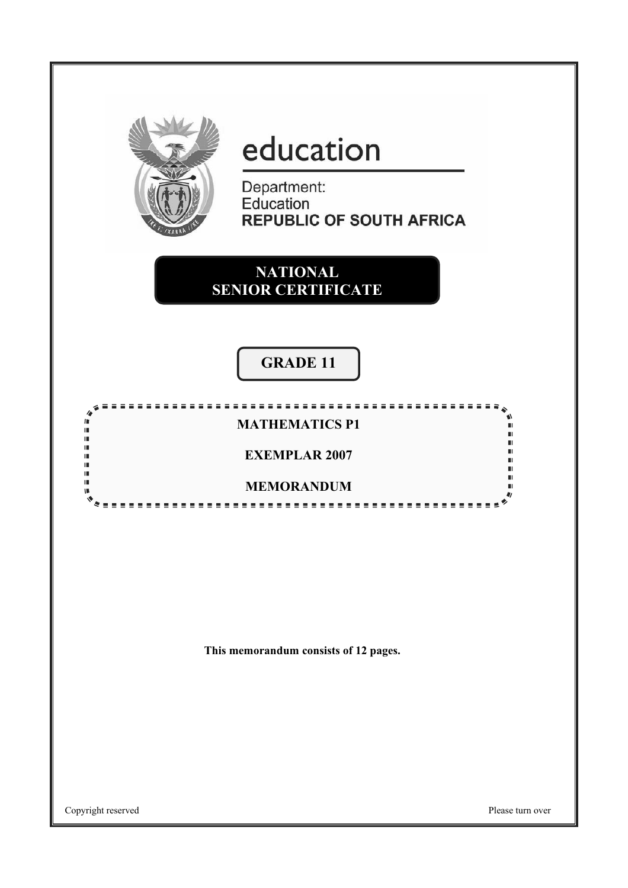

# education

Department:<br>Education **REPUBLIC OF SOUTH AFRICA** 

. . . . . . . . . . . . .

**NATIONAL SENIOR CERTIFICATE**

# **GRADE 11**

## **MATHEMATICS P1**

88888

### **EXEMPLAR 2007**

#### **MEMORANDUM** <u>.................</u>

**This memorandum consists of 12 pages.** 

Copyright reserved Please turn over

 $\overline{a}$ III i.

ï.

Ϊ.  $\blacksquare$ 

II.

II.

V.

Ŵ

n. n.

ш

 $\blacksquare$ 

ū

 $\blacksquare$ 

 $\bullet$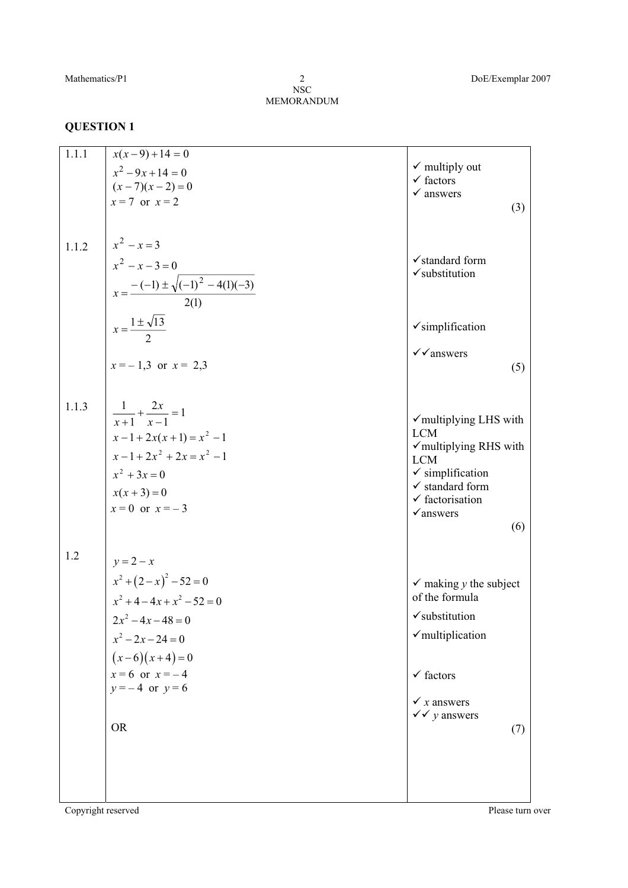NSC MEMORANDUM 2

| 1.1.1              | $x(x-9)+14=0$<br>$x^2-9x+14=0$<br>$(x-7)(x-2)=0$<br>$x = 7$ or $x = 2$                                                                                                               | $\checkmark$ multiply out<br>$\checkmark$ factors<br>$\checkmark$ answers<br>(3)                                                                                                                                             |
|--------------------|--------------------------------------------------------------------------------------------------------------------------------------------------------------------------------------|------------------------------------------------------------------------------------------------------------------------------------------------------------------------------------------------------------------------------|
| 1.1.2              | $x^2 - x = 3$<br>$x^2 - x - 3 = 0$<br>$x = \frac{-(-1) \pm \sqrt{(-1)^2 - 4(1)(-3)}}{2(1)}$<br>$x = \frac{1 \pm \sqrt{13}}{2}$                                                       | $\checkmark$ standard form<br>$\checkmark$ substitution                                                                                                                                                                      |
|                    | $x = -1,3$ or $x = 2,3$                                                                                                                                                              | $\checkmark$ simplification<br>$\checkmark$ answers<br>(5)                                                                                                                                                                   |
| 1.1.3              | $\frac{1}{x+1} + \frac{2x}{x-1} = 1$<br>$x-1+2x(x+1)=x^2-1$<br>$x-1+2x^2+2x=x^2-1$<br>$x^2 + 3x = 0$<br>$x(x+3)=0$<br>$x = 0$ or $x = -3$                                            | $\checkmark$ multiplying LHS with<br><b>LCM</b><br>$\checkmark$ multiplying RHS with<br><b>LCM</b><br>$\checkmark$ simplification<br>$\checkmark$ standard form<br>$\checkmark$ factorisation<br>$\checkmark$ answers<br>(6) |
| 1.2                | $y = 2 - x$<br>$x^2 + (2-x)^2 - 52 = 0$<br>$x^2+4-4x+x^2-52=0$<br>$2x^2 - 4x - 48 = 0$<br>$x^2-2x-24=0$<br>$(x-6)(x+4)=0$<br>$x = 6$ or $x = -4$<br>$y = -4$ or $y = 6$<br><b>OR</b> | $\checkmark$ making y the subject<br>of the formula<br>$\checkmark$ substitution<br>$\checkmark$ multiplication<br>$\checkmark$ factors<br>$\checkmark$ x answers<br>$\sqrt{\sqrt{y}}$ answers<br>(7)                        |
| Copyright reserved |                                                                                                                                                                                      | Please turn over                                                                                                                                                                                                             |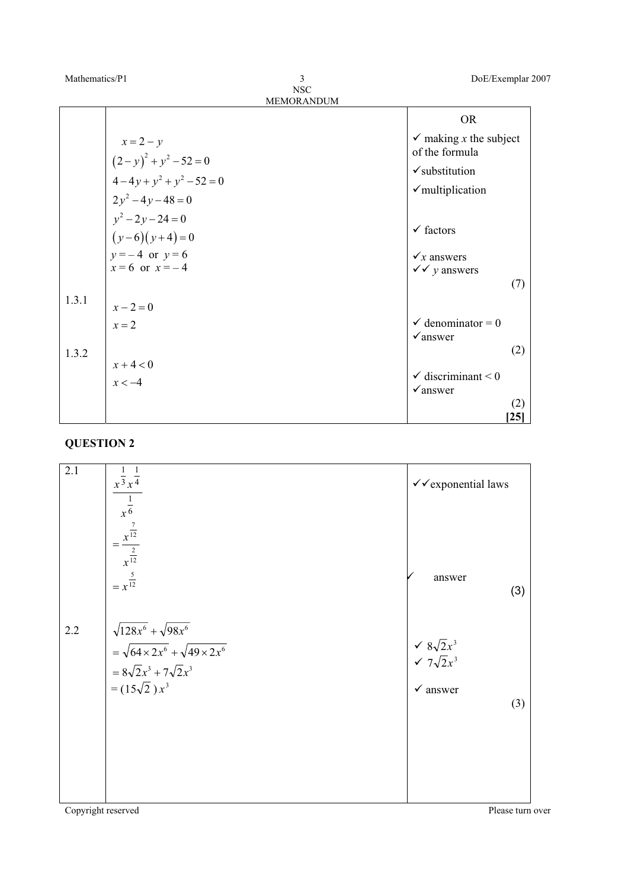| Mathematics/P1 |  | DoE/Exemplar 2007 |
|----------------|--|-------------------|
|----------------|--|-------------------|

| <b>OR</b>                                                          |     |
|--------------------------------------------------------------------|-----|
|                                                                    |     |
| $\checkmark$ making x the subject<br>$x = 2 - y$<br>of the formula |     |
| $(2-y)^2 + y^2 - 52 = 0$<br>$\checkmark$ substitution              |     |
| $4-4y+y^2+y^2-52=0$<br>$\checkmark$ multiplication                 |     |
| $2y^2-4y-48=0$<br>$y^2-2y-24=0$                                    |     |
| $\checkmark$ factors<br>$(y-6)(y+4)=0$                             |     |
| $y = -4$ or $y = 6$<br>$\checkmark$ x answers                      |     |
| $x = 6$ or $x = -4$<br>$\sqrt{\sqrt{y}}$ answers                   |     |
|                                                                    | (7) |
| 1.3.1<br>$x - 2 = 0$                                               |     |
| $\checkmark$ denominator = 0<br>$x = 2$                            |     |
| $\checkmark$ answer<br>1.3.2                                       | (2) |
| $x + 4 < 0$                                                        |     |
| $\checkmark$ discriminant < 0<br>$x < -4$                          |     |
| $\checkmark$ answer                                                | (2) |
|                                                                    | 25  |

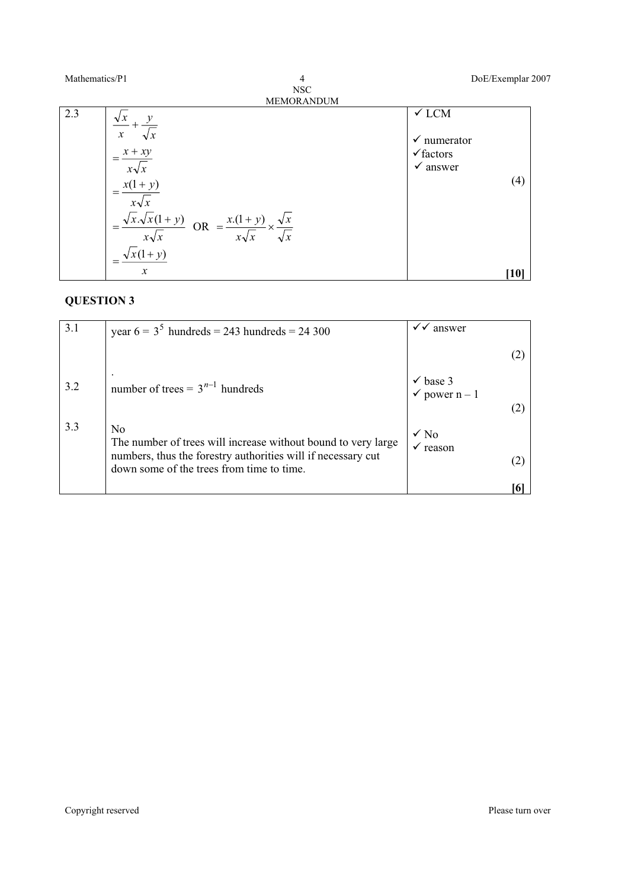| Mathematics/P1 | $\overline{4}$                                                        | DoE/Exemplar 2007                                                  |
|----------------|-----------------------------------------------------------------------|--------------------------------------------------------------------|
|                | <b>NSC</b>                                                            |                                                                    |
|                | MEMORANDUM                                                            |                                                                    |
| 2.3            | $\boldsymbol{\chi}$<br>$\sqrt{x}$<br>$x + xy$<br>$=$                  | $\checkmark$ LCM<br>$\checkmark$ numerator<br>$\checkmark$ factors |
|                | $x\sqrt{x}$                                                           | $\checkmark$ answer                                                |
|                | $x(1+y)$<br>$x\sqrt{x}$                                               | (4)                                                                |
|                | $x.\sqrt{x(1+y)}$<br>$=\frac{x(1+y)}{x\sqrt{x}}$<br>OR<br>$x\sqrt{x}$ |                                                                    |
|                | $+\nu$                                                                |                                                                    |
|                | $\boldsymbol{\chi}$                                                   | [10]                                                               |

| 3.1 | year $6 = 35$ hundreds = 243 hundreds = 24 300                                                                                                                                   | answer                                          |
|-----|----------------------------------------------------------------------------------------------------------------------------------------------------------------------------------|-------------------------------------------------|
|     |                                                                                                                                                                                  |                                                 |
| 3.2 | number of trees = $3^{n-1}$ hundreds                                                                                                                                             | $\checkmark$ base 3<br>$\checkmark$ power n – 1 |
| 3.3 | No<br>The number of trees will increase without bound to very large<br>numbers, thus the forestry authorities will if necessary cut<br>down some of the trees from time to time. | $\sqrt{N_0}$<br>$\checkmark$ reason             |
|     |                                                                                                                                                                                  |                                                 |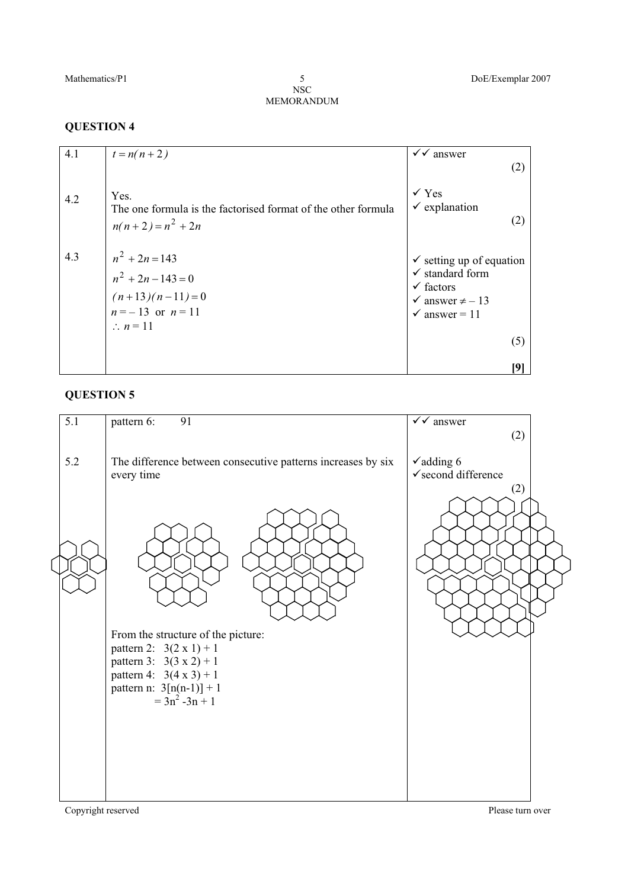NSC MEMORANDUM 5

#### **QUESTION 4**

| 4.1 | $t = n(n+2)$                                                                                                 | $\checkmark$ answer<br>(2)                                                                                                                              |
|-----|--------------------------------------------------------------------------------------------------------------|---------------------------------------------------------------------------------------------------------------------------------------------------------|
| 4.2 | Yes.<br>The one formula is the factorised format of the other formula<br>$n(n+2) = n^2 + 2n$                 | $\checkmark$ Yes<br>$\checkmark$ explanation<br>(2)                                                                                                     |
| 4.3 | $n^2 + 2n = 143$<br>$n^2 + 2n - 143 = 0$<br>$(n+13)(n-11)=0$<br>$n = -13$ or $n = 11$<br>$\therefore n = 11$ | $\checkmark$ setting up of equation<br>$\checkmark$ standard form<br>$\checkmark$ factors<br>$\checkmark$ answer $\neq -13$<br>$\checkmark$ answer = 11 |
|     |                                                                                                              | (5)                                                                                                                                                     |
|     |                                                                                                              |                                                                                                                                                         |

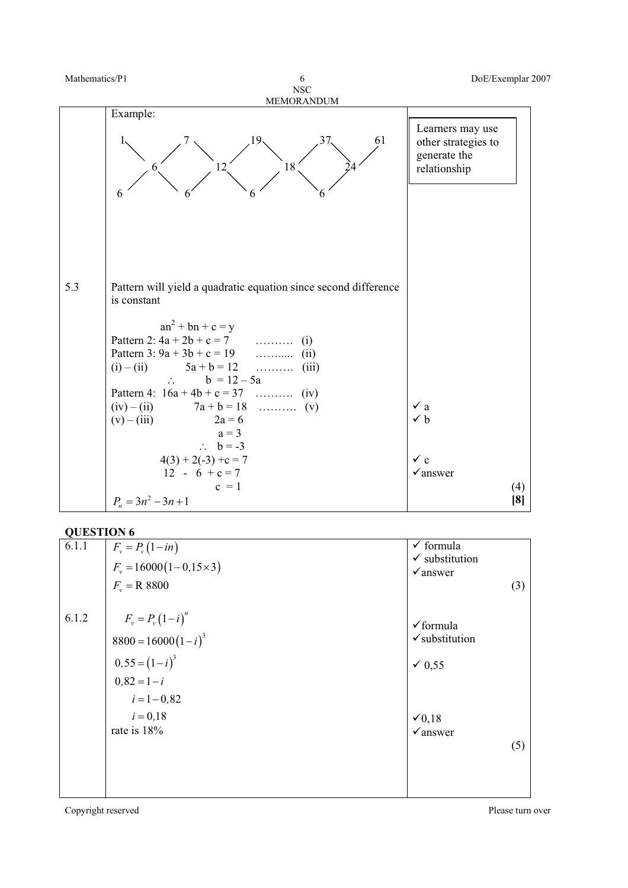

| 6.1.1 | $F_v = P_v(1 - in)$                               | $\checkmark$ formula                              |  |
|-------|---------------------------------------------------|---------------------------------------------------|--|
|       | $F_v = 16000(1-0.15\times3)$                      | $\checkmark$ substitution                         |  |
|       | $F_v = R 8800$                                    | $\checkmark$ answer<br>(3)                        |  |
| 6.1.2 | $F_v = P_v (1 - i)^n$<br>$8800 = 16000 (1 - i)^3$ | $\checkmark$ formula<br>$\checkmark$ substitution |  |
|       | $0,55 = (1-i)^3$                                  | $\times 0,55$                                     |  |
|       | $0,82 = 1-i$                                      |                                                   |  |
|       | $i = 1 - 0.82$                                    |                                                   |  |
|       | $i = 0.18$                                        | $\checkmark$ 0,18                                 |  |
|       | rate is 18%                                       | $\checkmark$ answer                               |  |
|       |                                                   | (5)                                               |  |
|       |                                                   |                                                   |  |
|       |                                                   |                                                   |  |
|       |                                                   |                                                   |  |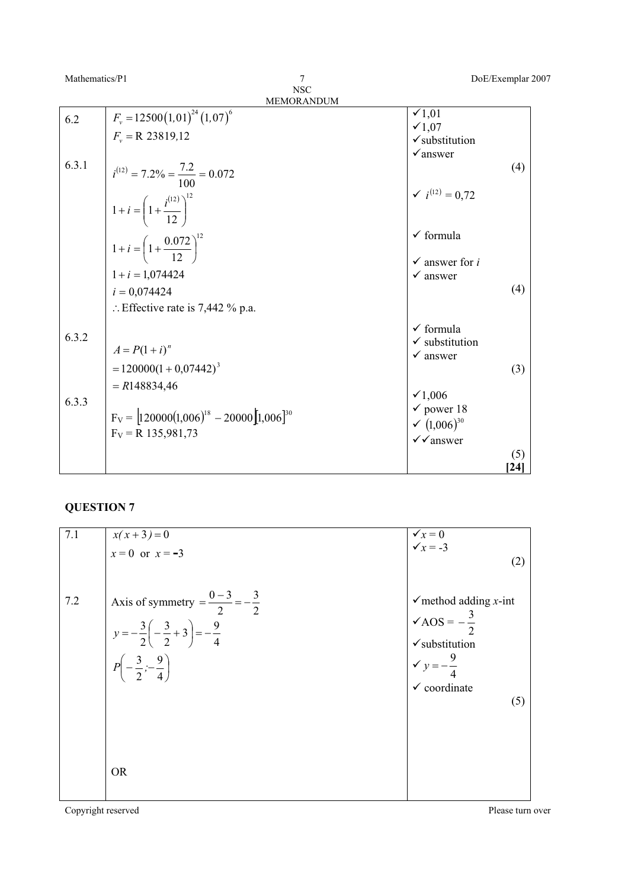NSC

7

|       | <b>MEMORANDUM</b>                                                 |                                                  |      |
|-------|-------------------------------------------------------------------|--------------------------------------------------|------|
| 6.2   | $F_v = 12500(1,01)^{24}(1,07)^6$                                  | $\checkmark$ 1,01<br>$\times 1,07$               |      |
|       | $F_v = R$ 23819,12                                                | $\checkmark$ substitution                        |      |
|       |                                                                   | $\checkmark$ answer                              |      |
| 6.3.1 | $i^{(12)} = 7.2\% = \frac{7.2}{100} = 0.072$                      |                                                  | (4)  |
|       | 1+i = $\left(1+\frac{i^{(12)}}{12}\right)^{12}$                   | $\checkmark$ i <sup>(12)</sup> = 0,72            |      |
|       | $1+i = \left(1+\frac{0.072}{12}\right)^{12}$                      | $\checkmark$ formula                             |      |
|       |                                                                   | $\checkmark$ answer for i                        |      |
|       | $1 + i = 1,074424$                                                | $\checkmark$ answer                              |      |
|       | $i = 0,074424$                                                    |                                                  | (4)  |
|       | : Effective rate is 7,442 % p.a.                                  |                                                  |      |
| 6.3.2 |                                                                   | $\checkmark$ formula                             |      |
|       | $A = P(1 + i)^n$                                                  | $\checkmark$ substitution<br>$\checkmark$ answer |      |
|       | $= 120000(1 + 0.07442)^{3}$                                       |                                                  | (3)  |
|       |                                                                   |                                                  |      |
|       | $= R148834,46$                                                    | $\times 1,006$                                   |      |
| 6.3.3 |                                                                   | $\checkmark$ power 18                            |      |
|       | $F_V =$ 120000(1,006) <sup>18</sup> - 20000 [1,006] <sup>30</sup> | $(1,006)^{30}$                                   |      |
|       | $F_V = R$ 135,981,73                                              | $\checkmark$ answer                              |      |
|       |                                                                   |                                                  | (5)  |
|       |                                                                   |                                                  | [24] |

## **QUESTION 7**

| 7.1 |                                                          | $\checkmark$ <sub>x</sub> = 0<br>$\checkmark$ <sub>x</sub> = -3 |
|-----|----------------------------------------------------------|-----------------------------------------------------------------|
|     | $x(x+3)=0$<br>$x=0$ or $x=-3$                            |                                                                 |
|     |                                                          | (2)                                                             |
|     |                                                          |                                                                 |
| 7.2 | Axis of symmetry = $\frac{0-3}{2}$ = $-\frac{3}{2}$      | $\checkmark$ method adding <i>x</i> -int                        |
|     |                                                          |                                                                 |
|     |                                                          | $\sqrt{\text{AOS}} = -\frac{3}{2}$                              |
|     | $y=-\frac{3}{2}\left(-\frac{3}{2}+3\right)=-\frac{9}{4}$ | $\checkmark$ substitution                                       |
|     |                                                          |                                                                 |
|     | $P\left(-\frac{3}{2},-\frac{9}{4}\right)$                | $y = -\frac{9}{4}$                                              |
|     |                                                          | $\checkmark$ coordinate                                         |
|     |                                                          | (5)                                                             |
|     |                                                          |                                                                 |
|     |                                                          |                                                                 |
|     |                                                          |                                                                 |
|     |                                                          |                                                                 |
|     | <b>OR</b>                                                |                                                                 |
|     |                                                          |                                                                 |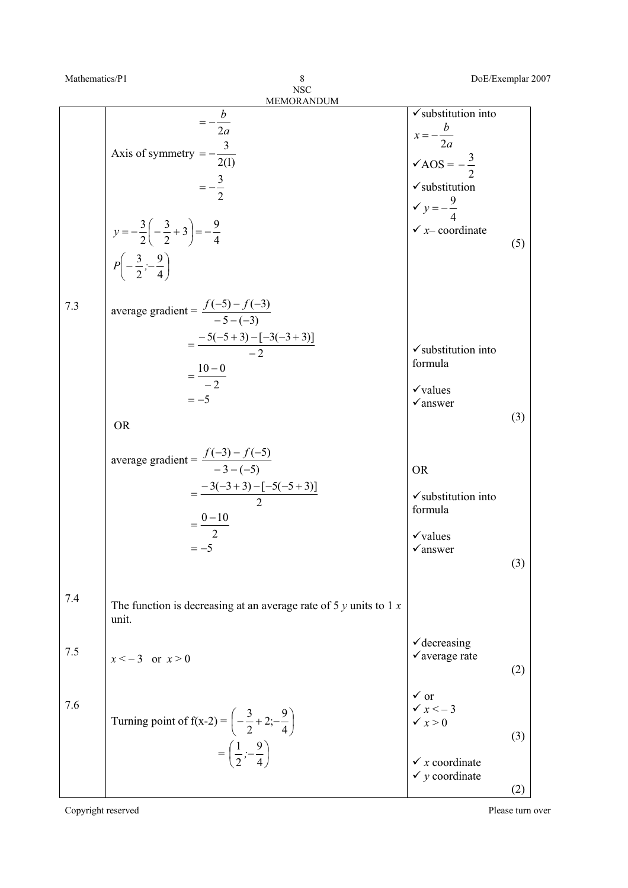| Mathematics/P1 | 8                                                                                                                                                                                                          |                                                                                                                                                                                    | DoE/Exemplar 2007 |
|----------------|------------------------------------------------------------------------------------------------------------------------------------------------------------------------------------------------------------|------------------------------------------------------------------------------------------------------------------------------------------------------------------------------------|-------------------|
|                | <b>NSC</b>                                                                                                                                                                                                 |                                                                                                                                                                                    |                   |
|                | MEMORANDUM<br>$=-\frac{b}{2a}$<br>Axis of symmetry $=-\frac{3}{2(1)}$<br>$=-\frac{3}{2}$<br>$y = -\frac{3}{2} \left( -\frac{3}{2} + 3 \right) = -\frac{9}{4}$<br>$P\left(-\frac{3}{2},-\frac{9}{4}\right)$ | $\checkmark$ substitution into<br>$x = -\frac{b}{2a}$<br>$\sqrt{AOS} = -\frac{3}{2}$<br>$\checkmark$ substitution<br>$\checkmark$ y = $-\frac{9}{4}$<br>$\checkmark$ x- coordinate | (5)               |
| 7.3            | average gradient = $\frac{f(-5) - f(-3)}{-5 - (-3)}$<br>$=\frac{-5(-5+3)-[-3(-3+3)]}{-2}$<br>$=\frac{10-0}{-2}$<br>$=-5$<br><b>OR</b>                                                                      | $\checkmark$ substitution into<br>formula<br>$\checkmark$ values<br>$\checkmark$ answer                                                                                            | (3)               |
|                | average gradient = $\frac{f(-3) - f(-5)}{-3 - (-5)}$<br>$=\frac{-3(-3+3)-[-5(-5+3)]}{2}$<br>$=\frac{0-10}{2}$<br>$=-5$                                                                                     | <b>OR</b><br>$\checkmark$ substitution into<br>formula<br>$\checkmark$ values<br>$\checkmark$ answer                                                                               | (3)               |
| 7.4            | The function is decreasing at an average rate of 5 $y$ units to 1 $x$<br>unit.                                                                                                                             |                                                                                                                                                                                    |                   |
| 7.5            | $x < -3$ or $x > 0$                                                                                                                                                                                        | √ decreasing<br>√average rate                                                                                                                                                      | (2)               |
| 7.6            | Turning point of $f(x-2) = \left(-\frac{3}{2} + 2; -\frac{9}{4}\right)$<br>$=\left(\frac{1}{2},-\frac{9}{4}\right)$                                                                                        | $\begin{array}{c}\n\checkmark$ or<br>$\checkmark$ x < - 3<br>$\checkmark$ x > 0<br>$\checkmark$ x coordinate<br>$\checkmark$ y coordinate                                          | (3)<br>(2)        |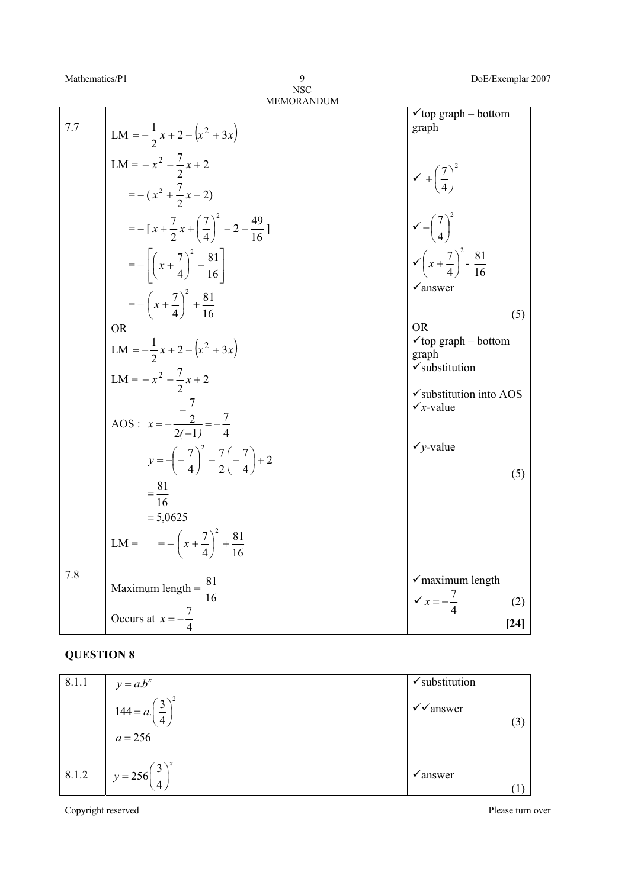|     | MEMORANDUM                                                                    |                                                                                 |
|-----|-------------------------------------------------------------------------------|---------------------------------------------------------------------------------|
| 7.7 | LM = $-\frac{1}{2}x + 2 - (x^2 + 3x)$                                         | $\checkmark$ top graph – bottom<br>graph                                        |
|     | LM = $-x^2 - \frac{7}{2}x + 2$<br>$=-(x^2+\frac{7}{2}x-2)$                    | $\sqrt{1 + \left(\frac{7}{4}\right)^2}$<br>$\sqrt{-\left(\frac{7}{4}\right)^2}$ |
|     | $=-\left[x+\frac{7}{2}x+\left(\frac{7}{4}\right)^2-2-\frac{49}{16}\right]$    |                                                                                 |
|     | $= -\left[\left(x + \frac{7}{4}\right)^2 - \frac{81}{16}\right]$              | $\sqrt{x+\frac{7}{4}}^2 - \frac{81}{16}$                                        |
|     | $=-\left(x+\frac{7}{4}\right)^2+\frac{81}{16}$                                | $\checkmark$ answer<br>(5)                                                      |
|     | <b>OR</b><br>LM = $-\frac{1}{2}x + 2 - (x^2 + 3x)$                            | <b>OR</b><br>$\checkmark$ top graph – bottom<br>graph                           |
|     | LM = $-x^2 - \frac{7}{2}x + 2$                                                | $\checkmark$ substitution<br>√substitution into AOS                             |
|     | AOS : $x = -\frac{\frac{1}{2}}{2(-1)} = -\frac{7}{4}$                         | $\checkmark$ x-value                                                            |
|     | $y = -\left(-\frac{7}{4}\right)^2 - \frac{7}{2}\left(-\frac{7}{4}\right) + 2$ | $\checkmark$ y-value<br>(5)                                                     |
|     | $=\frac{81}{16}$<br>$= 5,0625$                                                |                                                                                 |
|     | LM = $= -\left(x + \frac{7}{4}\right)^2 + \frac{81}{16}$                      |                                                                                 |
| 7.8 | Maximum length = $\frac{\delta_1}{\delta_2}$                                  | $\checkmark$ maximum length<br>$\sqrt{x} = -\frac{7}{4}$<br>(2)                 |
|     | Occurs at $x = -\frac{7}{4}$                                                  | $[24]$                                                                          |

| 8.1.1 | $y = a.b^x$                           | $\checkmark$ substitution  |  |
|-------|---------------------------------------|----------------------------|--|
|       | $144 = a. \left(\frac{3}{4}\right)^2$ | $\checkmark$ answer<br>(3) |  |
|       | $a = 256$                             |                            |  |
| 8.1.2 | $y = 256\left(\frac{3}{4}\right)^{x}$ | $\checkmark$ answer        |  |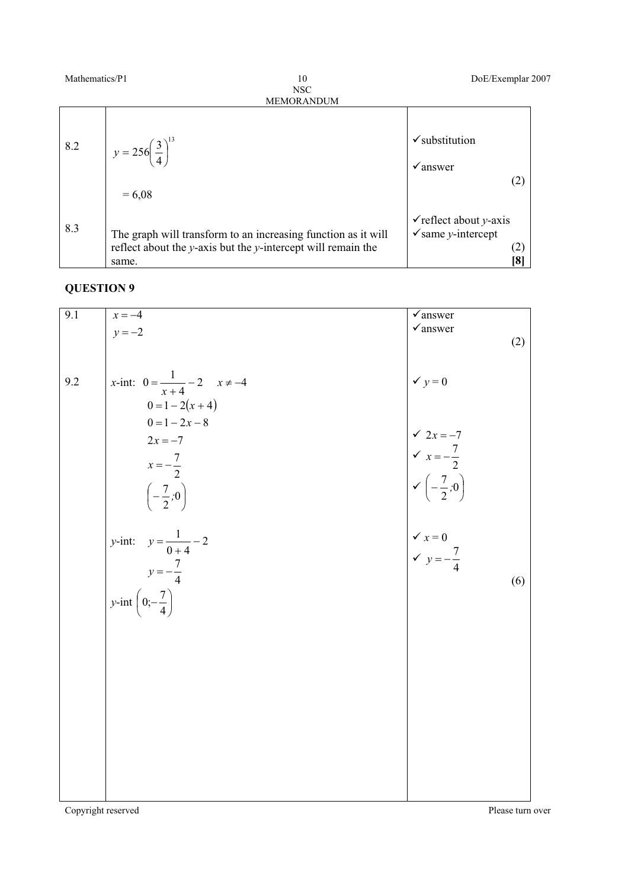| Mathematics/P1<br>10<br><b>NSC</b> |                                                                                                                                              | DoE/Exemplar 2007                                                                              |
|------------------------------------|----------------------------------------------------------------------------------------------------------------------------------------------|------------------------------------------------------------------------------------------------|
|                                    | <b>MEMORANDUM</b>                                                                                                                            |                                                                                                |
| 8.2                                | $y = 256\left(\frac{3}{4}\right)^{13}$<br>$= 6,08$                                                                                           | $\checkmark$ substitution<br>$\sqrt{\ }$ answer<br>(2)                                         |
| 8.3                                | The graph will transform to an increasing function as it will<br>reflect about the $y$ -axis but the $y$ -intercept will remain the<br>same. | $\checkmark$ reflect about y-axis<br>$\checkmark$ same y-intercept<br>(2)<br>$\left[ 8\right]$ |

| 9.1 | $x = -4$                                   | $\sqrt{a}$ nswer                                                                                                                                                               |  |
|-----|--------------------------------------------|--------------------------------------------------------------------------------------------------------------------------------------------------------------------------------|--|
|     | $y = -2$                                   | $\checkmark$ answer                                                                                                                                                            |  |
|     |                                            | (2)                                                                                                                                                                            |  |
|     |                                            |                                                                                                                                                                                |  |
| 9.2 | x-int: $0 = \frac{1}{x+4} - 2$ $x \neq -4$ | $y = 0$                                                                                                                                                                        |  |
|     | $0 = 1 - 2(x + 4)$                         |                                                                                                                                                                                |  |
|     | $0 = 1 - 2x - 8$                           |                                                                                                                                                                                |  |
|     | $2x = -7$                                  |                                                                                                                                                                                |  |
|     |                                            |                                                                                                                                                                                |  |
|     | $x=-\frac{7}{2}$                           |                                                                                                                                                                                |  |
|     | $\left(-\frac{7}{2}, 0\right)$             | $\begin{vmatrix} \sqrt{2x} & -7 \\ \sqrt{x} & -\frac{7}{2} \\ \sqrt{(-\frac{7}{2}, 0)} \end{vmatrix}$<br>$\begin{cases}\n\sqrt{x} = 0 \\ \sqrt{y} = -\frac{7}{4}\n\end{cases}$ |  |
|     |                                            |                                                                                                                                                                                |  |
|     | <i>y</i> -int: $y = \frac{1}{0+4} - 2$     |                                                                                                                                                                                |  |
|     |                                            |                                                                                                                                                                                |  |
|     | $y = -\frac{7}{4}$                         | (6)                                                                                                                                                                            |  |
|     | y-int $\left(0;-\frac{7}{4}\right)$        |                                                                                                                                                                                |  |
|     |                                            |                                                                                                                                                                                |  |
|     |                                            |                                                                                                                                                                                |  |
|     |                                            |                                                                                                                                                                                |  |
|     |                                            |                                                                                                                                                                                |  |
|     |                                            |                                                                                                                                                                                |  |
|     |                                            |                                                                                                                                                                                |  |
|     |                                            |                                                                                                                                                                                |  |
|     |                                            |                                                                                                                                                                                |  |
|     |                                            |                                                                                                                                                                                |  |
|     |                                            |                                                                                                                                                                                |  |
|     |                                            |                                                                                                                                                                                |  |
|     |                                            |                                                                                                                                                                                |  |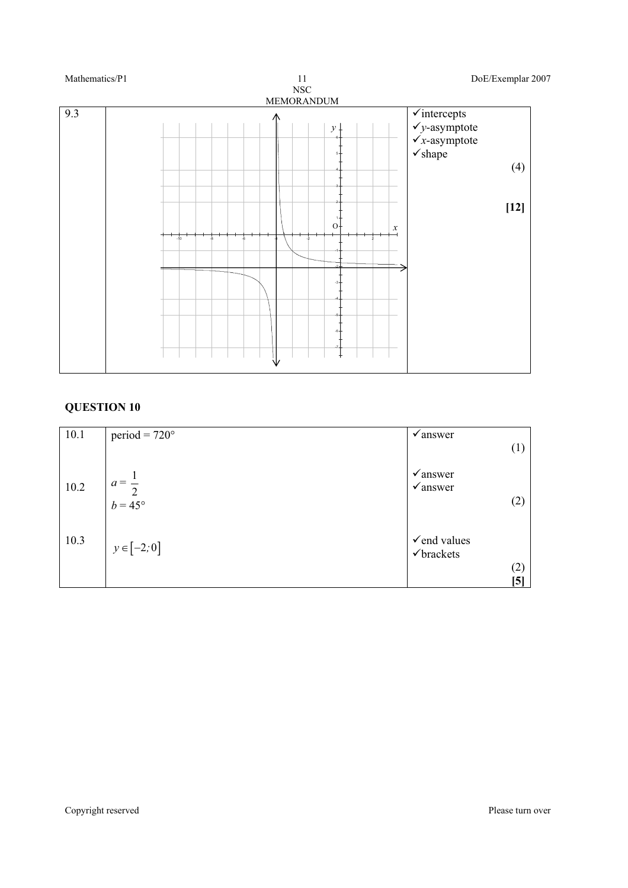

| period = $720^\circ$ | $\sqrt{\text{answer}}$                                   |
|----------------------|----------------------------------------------------------|
|                      | (1)                                                      |
|                      | $\sqrt{a}$ nswer<br>$\sqrt{a}$ nswer                     |
|                      | (2)                                                      |
|                      |                                                          |
|                      | $\checkmark$ end values                                  |
|                      | $\checkmark$ brackets                                    |
|                      | (2)<br>[5]                                               |
|                      | $a = \frac{1}{2}$<br>$b = 45^{\circ}$<br>$y \in [-2, 0]$ |